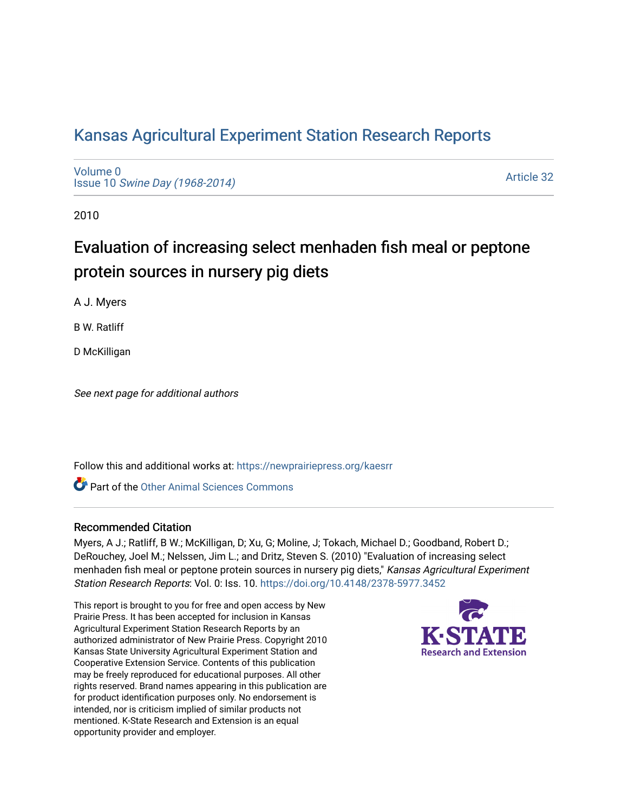## [Kansas Agricultural Experiment Station Research Reports](https://newprairiepress.org/kaesrr)

[Volume 0](https://newprairiepress.org/kaesrr/vol0) Issue 10 [Swine Day \(1968-2014\)](https://newprairiepress.org/kaesrr/vol0/iss10)

[Article 32](https://newprairiepress.org/kaesrr/vol0/iss10/32) 

2010

# Evaluation of increasing select menhaden fish meal or peptone protein sources in nursery pig diets

A J. Myers

B W. Ratliff

D McKilligan

See next page for additional authors

Follow this and additional works at: [https://newprairiepress.org/kaesrr](https://newprairiepress.org/kaesrr?utm_source=newprairiepress.org%2Fkaesrr%2Fvol0%2Fiss10%2F32&utm_medium=PDF&utm_campaign=PDFCoverPages) 

**C** Part of the [Other Animal Sciences Commons](http://network.bepress.com/hgg/discipline/82?utm_source=newprairiepress.org%2Fkaesrr%2Fvol0%2Fiss10%2F32&utm_medium=PDF&utm_campaign=PDFCoverPages)

### Recommended Citation

Myers, A J.; Ratliff, B W.; McKilligan, D; Xu, G; Moline, J; Tokach, Michael D.; Goodband, Robert D.; DeRouchey, Joel M.; Nelssen, Jim L.; and Dritz, Steven S. (2010) "Evaluation of increasing select menhaden fish meal or peptone protein sources in nursery pig diets," Kansas Agricultural Experiment Station Research Reports: Vol. 0: Iss. 10. <https://doi.org/10.4148/2378-5977.3452>

This report is brought to you for free and open access by New Prairie Press. It has been accepted for inclusion in Kansas Agricultural Experiment Station Research Reports by an authorized administrator of New Prairie Press. Copyright 2010 Kansas State University Agricultural Experiment Station and Cooperative Extension Service. Contents of this publication may be freely reproduced for educational purposes. All other rights reserved. Brand names appearing in this publication are for product identification purposes only. No endorsement is intended, nor is criticism implied of similar products not mentioned. K-State Research and Extension is an equal opportunity provider and employer.

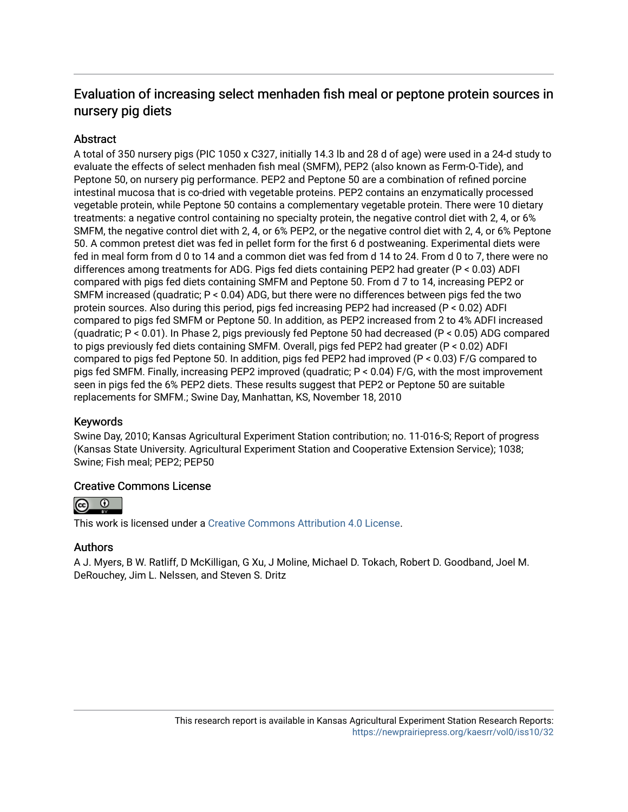## Evaluation of increasing select menhaden fish meal or peptone protein sources in nursery pig diets

### **Abstract**

A total of 350 nursery pigs (PIC 1050 x C327, initially 14.3 lb and 28 d of age) were used in a 24-d study to evaluate the effects of select menhaden fish meal (SMFM), PEP2 (also known as Ferm-O-Tide), and Peptone 50, on nursery pig performance. PEP2 and Peptone 50 are a combination of refined porcine intestinal mucosa that is co-dried with vegetable proteins. PEP2 contains an enzymatically processed vegetable protein, while Peptone 50 contains a complementary vegetable protein. There were 10 dietary treatments: a negative control containing no specialty protein, the negative control diet with 2, 4, or 6% SMFM, the negative control diet with 2, 4, or 6% PEP2, or the negative control diet with 2, 4, or 6% Peptone 50. A common pretest diet was fed in pellet form for the first 6 d postweaning. Experimental diets were fed in meal form from d 0 to 14 and a common diet was fed from d 14 to 24. From d 0 to 7, there were no differences among treatments for ADG. Pigs fed diets containing PEP2 had greater (P < 0.03) ADFI compared with pigs fed diets containing SMFM and Peptone 50. From d 7 to 14, increasing PEP2 or SMFM increased (quadratic; P < 0.04) ADG, but there were no differences between pigs fed the two protein sources. Also during this period, pigs fed increasing PEP2 had increased (P < 0.02) ADFI compared to pigs fed SMFM or Peptone 50. In addition, as PEP2 increased from 2 to 4% ADFI increased (quadratic; P < 0.01). In Phase 2, pigs previously fed Peptone 50 had decreased (P < 0.05) ADG compared to pigs previously fed diets containing SMFM. Overall, pigs fed PEP2 had greater (P < 0.02) ADFI compared to pigs fed Peptone 50. In addition, pigs fed PEP2 had improved (P < 0.03) F/G compared to pigs fed SMFM. Finally, increasing PEP2 improved (quadratic; P < 0.04) F/G, with the most improvement seen in pigs fed the 6% PEP2 diets. These results suggest that PEP2 or Peptone 50 are suitable replacements for SMFM.; Swine Day, Manhattan, KS, November 18, 2010

### Keywords

Swine Day, 2010; Kansas Agricultural Experiment Station contribution; no. 11-016-S; Report of progress (Kansas State University. Agricultural Experiment Station and Cooperative Extension Service); 1038; Swine; Fish meal; PEP2; PEP50

### Creative Commons License



This work is licensed under a [Creative Commons Attribution 4.0 License](https://creativecommons.org/licenses/by/4.0/).

### Authors

A J. Myers, B W. Ratliff, D McKilligan, G Xu, J Moline, Michael D. Tokach, Robert D. Goodband, Joel M. DeRouchey, Jim L. Nelssen, and Steven S. Dritz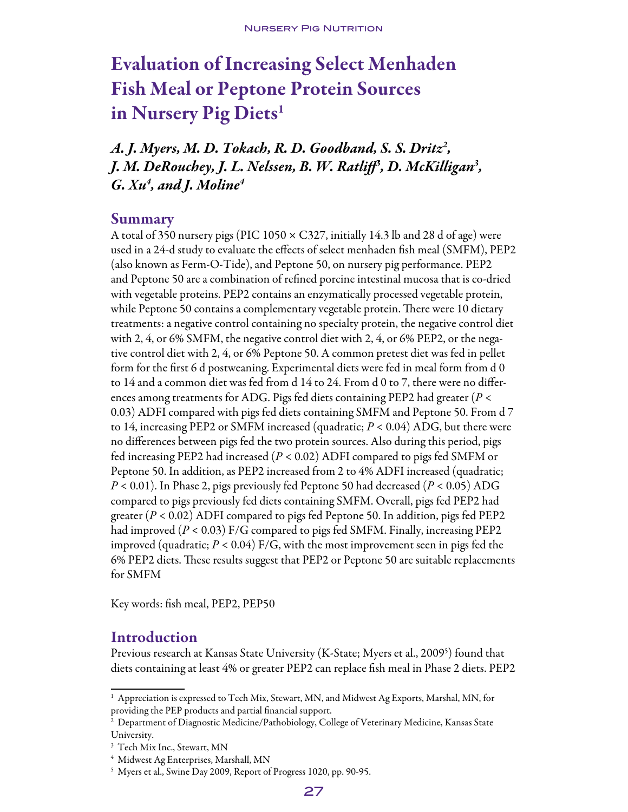# **Evaluation of Increasing Select Menhaden** Fish Meal or Peptone Protein Sources in Nursery Pig Diets<sup>1</sup>

*A. J. Myers, M. D. Tokach, R. D. Goodband, S. S. Dritz2 , J. M. DeRouchey, J. L. Nelssen, B. W. Ratliff3 , D. McKilligan3 , G. Xu4 , and J. Moline4*

### Summary

A total of 350 nursery pigs (PIC 1050 × C327, initially 14.3 lb and 28 d of age) were used in a 24-d study to evaluate the effects of select menhaden fish meal (SMFM), PEP2 (also known as Ferm-O-Tide), and Peptone 50, on nursery pig performance. PEP2 and Peptone 50 are a combination of refined porcine intestinal mucosa that is co-dried with vegetable proteins. PEP2 contains an enzymatically processed vegetable protein, while Peptone 50 contains a complementary vegetable protein. There were 10 dietary treatments: a negative control containing no specialty protein, the negative control diet with 2, 4, or 6% SMFM, the negative control diet with 2, 4, or 6% PEP2, or the negative control diet with 2, 4, or 6% Peptone 50. A common pretest diet was fed in pellet form for the first 6 d postweaning. Experimental diets were fed in meal form from d 0 to 14 and a common diet was fed from d 14 to 24. From d 0 to 7, there were no differences among treatments for ADG. Pigs fed diets containing PEP2 had greater (*P* < 0.03) ADFI compared with pigs fed diets containing SMFM and Peptone 50. From d 7 to 14, increasing PEP2 or SMFM increased (quadratic; *P* < 0.04) ADG, but there were no differences between pigs fed the two protein sources. Also during this period, pigs fed increasing PEP2 had increased (*P* < 0.02) ADFI compared to pigs fed SMFM or Peptone 50. In addition, as PEP2 increased from 2 to 4% ADFI increased (quadratic; *P* < 0.01). In Phase 2, pigs previously fed Peptone 50 had decreased (*P* < 0.05) ADG compared to pigs previously fed diets containing SMFM. Overall, pigs fed PEP2 had greater (*P* < 0.02) ADFI compared to pigs fed Peptone 50. In addition, pigs fed PEP2 had improved (*P* < 0.03) F/G compared to pigs fed SMFM. Finally, increasing PEP2 improved (quadratic; *P* < 0.04) F/G, with the most improvement seen in pigs fed the 6% PEP2 diets. These results suggest that PEP2 or Peptone 50 are suitable replacements for SMFM

Key words: fish meal, PEP2, PEP50

## Introduction

Previous research at Kansas State University (K-State; Myers et al., 2009<sup>5</sup>) found that diets containing at least 4% or greater PEP2 can replace fish meal in Phase 2 diets. PEP2

 $^{\rm 1}$  Appreciation is expressed to Tech Mix, Stewart, MN, and Midwest Ag Exports, Marshal, MN, for providing the PEP products and partial financial support.

 $^{\rm 2}$  Department of Diagnostic Medicine/Pathobiology, College of Veterinary Medicine, Kansas State University.

<sup>3</sup> Tech Mix Inc., Stewart, MN

<sup>4</sup> Midwest Ag Enterprises, Marshall, MN

<sup>5</sup> Myers et al., Swine Day 2009, Report of Progress 1020, pp. 90-95.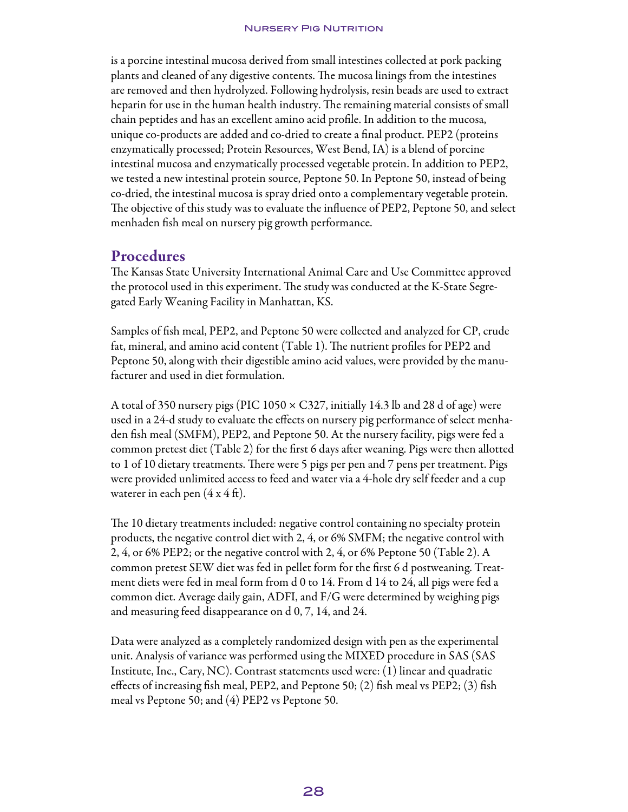#### **NURSERY PIG NUTRITION**

is a porcine intestinal mucosa derived from small intestines collected at pork packing plants and cleaned of any digestive contents. The mucosa linings from the intestines are removed and then hydrolyzed. Following hydrolysis, resin beads are used to extract heparin for use in the human health industry. The remaining material consists of small chain peptides and has an excellent amino acid profile. In addition to the mucosa, unique co-products are added and co-dried to create a final product. PEP2 (proteins enzymatically processed; Protein Resources, West Bend, IA) is a blend of porcine intestinal mucosa and enzymatically processed vegetable protein. In addition to PEP2, we tested a new intestinal protein source, Peptone 50. In Peptone 50, instead of being co-dried, the intestinal mucosa is spray dried onto a complementary vegetable protein. The objective of this study was to evaluate the influence of PEP2, Peptone 50, and select menhaden fish meal on nursery pig growth performance.

### Procedures

The Kansas State University International Animal Care and Use Committee approved the protocol used in this experiment. The study was conducted at the K-State Segregated Early Weaning Facility in Manhattan, KS.

Samples of fish meal, PEP2, and Peptone 50 were collected and analyzed for CP, crude fat, mineral, and amino acid content (Table 1). The nutrient profiles for PEP2 and Peptone 50, along with their digestible amino acid values, were provided by the manufacturer and used in diet formulation.

A total of 350 nursery pigs (PIC  $1050 \times C327$ , initially 14.3 lb and 28 d of age) were used in a 24-d study to evaluate the effects on nursery pig performance of select menhaden fish meal (SMFM), PEP2, and Peptone 50. At the nursery facility, pigs were fed a common pretest diet (Table 2) for the first 6 days after weaning. Pigs were then allotted to 1 of 10 dietary treatments. There were 5 pigs per pen and 7 pens per treatment. Pigs were provided unlimited access to feed and water via a 4-hole dry self feeder and a cup waterer in each pen  $(4 \times 4 \text{ ft})$ .

The 10 dietary treatments included: negative control containing no specialty protein products, the negative control diet with 2, 4, or 6% SMFM; the negative control with 2, 4, or 6% PEP2; or the negative control with 2, 4, or 6% Peptone 50 (Table 2). A common pretest SEW diet was fed in pellet form for the first 6 d postweaning. Treatment diets were fed in meal form from d 0 to 14. From d 14 to 24, all pigs were fed a common diet. Average daily gain, ADFI, and F/G were determined by weighing pigs and measuring feed disappearance on d 0, 7, 14, and 24.

Data were analyzed as a completely randomized design with pen as the experimental unit. Analysis of variance was performed using the MIXED procedure in SAS (SAS Institute, Inc., Cary, NC). Contrast statements used were: (1) linear and quadratic effects of increasing fish meal, PEP2, and Peptone 50; (2) fish meal vs PEP2; (3) fish meal vs Peptone 50; and (4) PEP2 vs Peptone 50.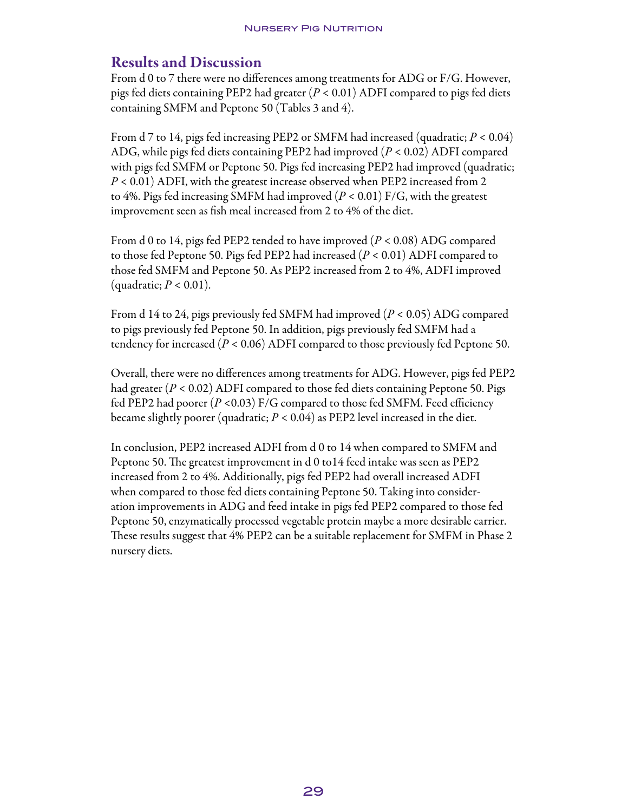## Results and Discussion

From d 0 to 7 there were no differences among treatments for ADG or F/G. However, pigs fed diets containing PEP2 had greater (*P* < 0.01) ADFI compared to pigs fed diets containing SMFM and Peptone 50 (Tables 3 and 4).

From d 7 to 14, pigs fed increasing PEP2 or SMFM had increased (quadratic; *P* < 0.04) ADG, while pigs fed diets containing PEP2 had improved (*P* < 0.02) ADFI compared with pigs fed SMFM or Peptone 50. Pigs fed increasing PEP2 had improved (quadratic; *P* < 0.01) ADFI, with the greatest increase observed when PEP2 increased from 2 to 4%. Pigs fed increasing SMFM had improved (*P* < 0.01) F/G, with the greatest improvement seen as fish meal increased from 2 to 4% of the diet.

From d 0 to 14, pigs fed PEP2 tended to have improved (*P* < 0.08) ADG compared to those fed Peptone 50. Pigs fed PEP2 had increased (*P* < 0.01) ADFI compared to those fed SMFM and Peptone 50. As PEP2 increased from 2 to 4%, ADFI improved (quadratic; *P* < 0.01).

From d 14 to 24, pigs previously fed SMFM had improved (*P* < 0.05) ADG compared to pigs previously fed Peptone 50. In addition, pigs previously fed SMFM had a tendency for increased (*P* < 0.06) ADFI compared to those previously fed Peptone 50.

Overall, there were no differences among treatments for ADG. However, pigs fed PEP2 had greater (*P* < 0.02) ADFI compared to those fed diets containing Peptone 50. Pigs fed PEP2 had poorer (*P <*0.03) F/G compared to those fed SMFM. Feed efficiency became slightly poorer (quadratic; *P* < 0.04) as PEP2 level increased in the diet.

In conclusion, PEP2 increased ADFI from d 0 to 14 when compared to SMFM and Peptone 50. The greatest improvement in d 0 to14 feed intake was seen as PEP2 increased from 2 to 4%. Additionally, pigs fed PEP2 had overall increased ADFI when compared to those fed diets containing Peptone 50. Taking into consideration improvements in ADG and feed intake in pigs fed PEP2 compared to those fed Peptone 50, enzymatically processed vegetable protein maybe a more desirable carrier. These results suggest that 4% PEP2 can be a suitable replacement for SMFM in Phase 2 nursery diets.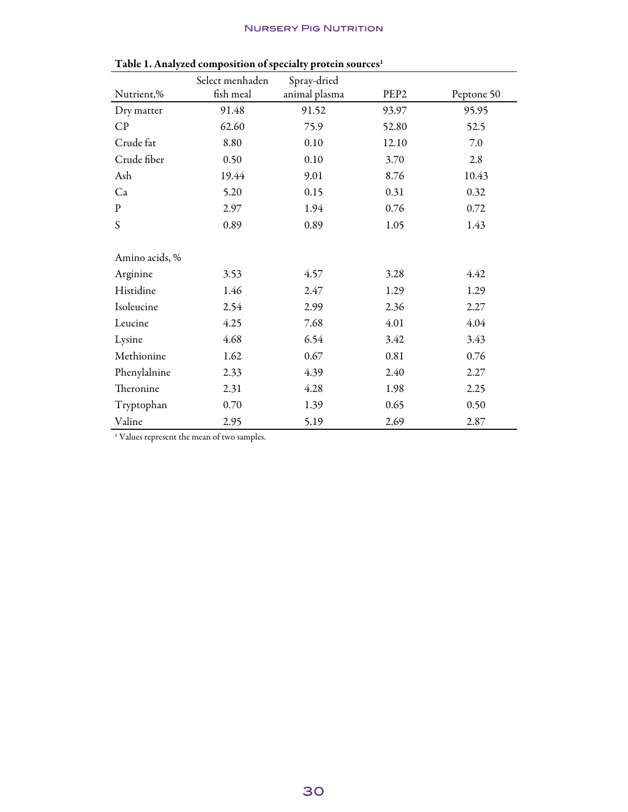### Nursery Pig Nutrition

|                | Table 1. Amaryled composition of specially protein sources |                              |                  |            |
|----------------|------------------------------------------------------------|------------------------------|------------------|------------|
| Nutrient,%     | Select menhaden<br>fish meal                               | Spray-dried<br>animal plasma | PEP <sub>2</sub> | Peptone 50 |
|                |                                                            |                              |                  |            |
| Dry matter     | 91.48                                                      | 91.52                        | 93.97            | 95.95      |
| CP             | 62.60                                                      | 75.9                         | 52.80            | 52.5       |
| Crude fat      | 8.80                                                       | 0.10                         | 12.10            | 7.0        |
| Crude fiber    | 0.50                                                       | 0.10                         | 3.70             | 2.8        |
| Ash            | 19.44                                                      | 9.01                         | 8.76             | 10.43      |
| Ca             | 5.20                                                       | 0.15                         | 0.31             | 0.32       |
| ${\bf p}$      | 2.97                                                       | 1.94                         | 0.76             | 0.72       |
| S              | 0.89                                                       | 0.89                         | 1.05             | 1.43       |
| Amino acids, % |                                                            |                              |                  |            |
| Arginine       | 3.53                                                       | 4.57                         | 3.28             | 4.42       |
| Histidine      | 1.46                                                       | 2.47                         | 1.29             | 1.29       |
| Isoleucine     | 2.54                                                       | 2.99                         | 2.36             | 2.27       |
| Leucine        | 4.25                                                       | 7.68                         | 4.01             | 4.04       |
| Lysine         | 4.68                                                       | 6.54                         | 3.42             | 3.43       |
| Methionine     | 1.62                                                       | 0.67                         | 0.81             | 0.76       |
| Phenylalnine   | 2.33                                                       | 4.39                         | 2.40             | 2.27       |
| Theronine      | 2.31                                                       | 4.28                         | 1.98             | 2.25       |
| Tryptophan     | 0.70                                                       | 1.39                         | 0.65             | 0.50       |
| Valine         | 2.95                                                       | 5.19                         | 2.69             | 2.87       |

|  |  | Table 1. Analyzed composition of specialty protein sources <sup>1</sup> |  |
|--|--|-------------------------------------------------------------------------|--|

<sup>1</sup> Values represent the mean of two samples.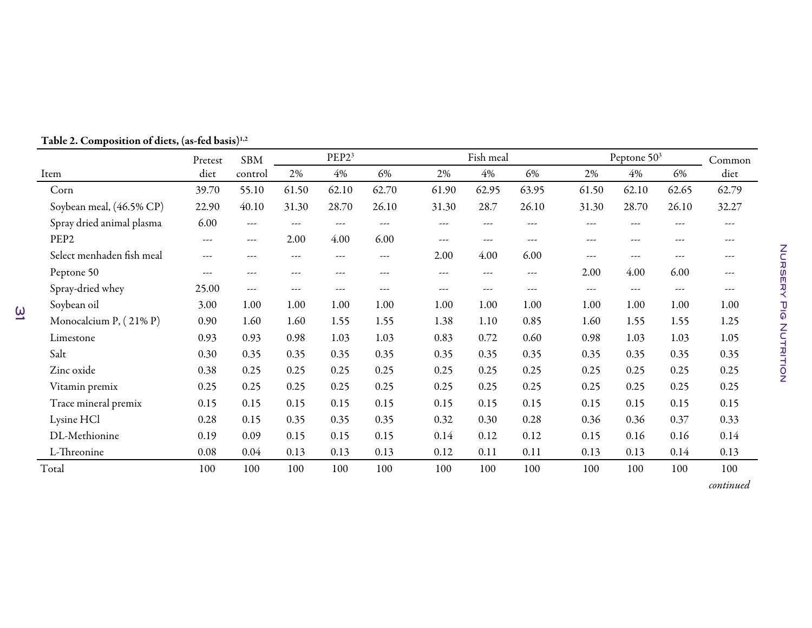|                           | Pretest | <b>SBM</b> |         | PEP <sub>23</sub>                      |       | Fish meal |                          | Peptone 50 <sup>3</sup> | Common   |          |       |       |
|---------------------------|---------|------------|---------|----------------------------------------|-------|-----------|--------------------------|-------------------------|----------|----------|-------|-------|
| Item                      | diet    | control    | 2%      | 4%                                     | 6%    | 2%        | 4%                       | 6%                      | 2%       | 4%       | 6%    | diet  |
| Corn                      | 39.70   | 55.10      | 61.50   | 62.10                                  | 62.70 | 61.90     | 62.95                    | 63.95                   | 61.50    | 62.10    | 62.65 | 62.79 |
| Soybean meal, (46.5% CP)  | 22.90   | 40.10      | 31.30   | 28.70                                  | 26.10 | 31.30     | 28.7                     | 26.10                   | 31.30    | 28.70    | 26.10 | 32.27 |
| Spray dried animal plasma | 6.00    | ---        | ---     | $\scriptstyle\cdots\scriptstyle\cdots$ | ---   | ---       | ---                      | ---                     | ---      | $\cdots$ | ---   | ---   |
| PEP <sub>2</sub>          | ---     | ---        | 2.00    | 4.00                                   | 6.00  | ---       | $\overline{\phantom{m}}$ | ---                     | $\cdots$ | ---      | ---   | ---   |
| Select menhaden fish meal | ---     | ---        | $- - -$ | $\frac{1}{2}$                          | ---   | 2.00      | 4.00                     | 6.00                    | $---$    | ---      | ---   | ---   |
| Peptone 50                | ---     | ---        | ---     | ---                                    | ---   | ---       | ---                      | ---                     | 2.00     | 4.00     | 6.00  | ---   |
| Spray-dried whey          | 25.00   | ---        | ---     | ---                                    | ---   | ---       | ---                      | ---                     | $\cdots$ | $\cdots$ | ---   | ---   |
| Soybean oil               | 3.00    | 1.00       | 1.00    | 1.00                                   | 1.00  | 1.00      | 1.00                     | 1.00                    | 1.00     | 1.00     | 1.00  | 1.00  |
| Monocalcium P, (21% P)    | 0.90    | 1.60       | 1.60    | 1.55                                   | 1.55  | 1.38      | 1.10                     | 0.85                    | 1.60     | 1.55     | 1.55  | 1.25  |
| Limestone                 | 0.93    | 0.93       | 0.98    | 1.03                                   | 1.03  | 0.83      | 0.72                     | 0.60                    | 0.98     | 1.03     | 1.03  | 1.05  |
| Salt                      | 0.30    | 0.35       | 0.35    | 0.35                                   | 0.35  | 0.35      | 0.35                     | 0.35                    | 0.35     | 0.35     | 0.35  | 0.35  |
| Zinc oxide                | 0.38    | 0.25       | 0.25    | 0.25                                   | 0.25  | 0.25      | 0.25                     | 0.25                    | 0.25     | 0.25     | 0.25  | 0.25  |
| Vitamin premix            | 0.25    | 0.25       | 0.25    | 0.25                                   | 0.25  | 0.25      | 0.25                     | 0.25                    | 0.25     | 0.25     | 0.25  | 0.25  |
| Trace mineral premix      | 0.15    | 0.15       | 0.15    | 0.15                                   | 0.15  | 0.15      | 0.15                     | 0.15                    | 0.15     | 0.15     | 0.15  | 0.15  |
| Lysine HCl                | 0.28    | 0.15       | 0.35    | 0.35                                   | 0.35  | 0.32      | 0.30                     | 0.28                    | 0.36     | 0.36     | 0.37  | 0.33  |
| DL-Methionine             | 0.19    | 0.09       | 0.15    | 0.15                                   | 0.15  | 0.14      | 0.12                     | 0.12                    | 0.15     | 0.16     | 0.16  | 0.14  |
| L-Threonine               | 0.08    | 0.04       | 0.13    | 0.13                                   | 0.13  | 0.12      | 0.11                     | 0.11                    | 0.13     | 0.13     | 0.14  | 0.13  |
| Total                     | 100     | 100        | 100     | 100                                    | 100   | 100       | 100                      | 100                     | 100      | 100      | 100   | 100   |

Table 2. Composition of diets, (as-fed basis) $^{\rm 1,2}$ 

 $\overline{\omega}$ 

*continued*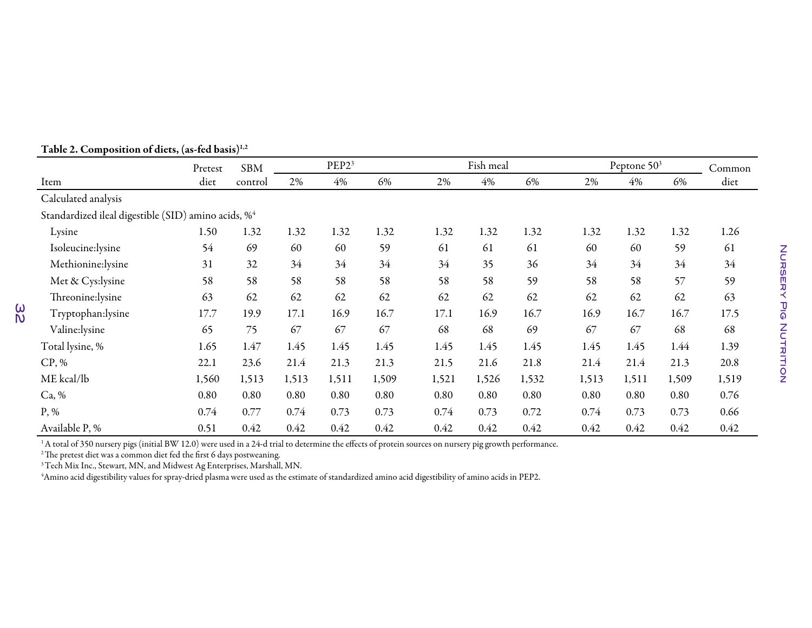|                                                                 | Pretest | <b>SBM</b> |       | PEP <sub>23</sub> |       |       | Fish meal |       |       | Peptone 50 <sup>3</sup> |       | Common |
|-----------------------------------------------------------------|---------|------------|-------|-------------------|-------|-------|-----------|-------|-------|-------------------------|-------|--------|
| Item                                                            | diet    | control    | 2%    | 4%                | 6%    | 2%    | 4%        | 6%    | 2%    | 4%                      | 6%    | diet   |
| Calculated analysis                                             |         |            |       |                   |       |       |           |       |       |                         |       |        |
| Standardized ileal digestible (SID) amino acids, % <sup>4</sup> |         |            |       |                   |       |       |           |       |       |                         |       |        |
| Lysine                                                          | 1.50    | 1.32       | 1.32  | 1.32              | 1.32  | 1.32  | 1.32      | 1.32  | 1.32  | 1.32                    | 1.32  | 1.26   |
| Isoleucine:lysine                                               | 54      | 69         | 60    | 60                | 59    | 61    | 61        | 61    | 60    | 60                      | 59    | 61     |
| Methionine:lysine                                               | 31      | 32         | 34    | 34                | 34    | 34    | 35        | 36    | 34    | 34                      | 34    | 34     |
| Met & Cys:lysine                                                | 58      | 58         | 58    | 58                | 58    | 58    | 58        | 59    | 58    | 58                      | 57    | 59     |
| Threonine: lysine                                               | 63      | 62         | 62    | 62                | 62    | 62    | 62        | 62    | 62    | 62                      | 62    | 63     |
| Tryptophan:lysine                                               | 17.7    | 19.9       | 17.1  | 16.9              | 16.7  | 17.1  | 16.9      | 16.7  | 16.9  | 16.7                    | 16.7  | 17.5   |
| Valine:lysine                                                   | 65      | 75         | 67    | 67                | 67    | 68    | 68        | 69    | 67    | 67                      | 68    | 68     |
| Total lysine, %                                                 | 1.65    | 1.47       | 1.45  | 1.45              | 1.45  | 1.45  | 1.45      | 1.45  | 1.45  | 1.45                    | 1.44  | 1.39   |
| CP, %                                                           | 22.1    | 23.6       | 21.4  | 21.3              | 21.3  | 21.5  | 21.6      | 21.8  | 21.4  | 21.4                    | 21.3  | 20.8   |
| ME kcal/lb                                                      | 1,560   | 1,513      | 1,513 | 1,511             | 1,509 | 1,521 | 1,526     | 1,532 | 1,513 | 1,511                   | 1,509 | 1,519  |
| Ca, %                                                           | 0.80    | 0.80       | 0.80  | 0.80              | 0.80  | 0.80  | 0.80      | 0.80  | 0.80  | 0.80                    | 0.80  | 0.76   |
| $P, \%$                                                         | 0.74    | 0.77       | 0.74  | 0.73              | 0.73  | 0.74  | 0.73      | 0.72  | 0.74  | 0.73                    | 0.73  | 0.66   |
| Available P, %                                                  | 0.51    | 0.42       | 0.42  | 0.42              | 0.42  | 0.42  | 0.42      | 0.42  | 0.42  | 0.42                    | 0.42  | 0.42   |

#### Table 2. Composition of diets, (as-fed basis) $^{\scriptscriptstyle 1,2}$

**32** 

 $^1$ A total of 350 nursery pigs (initial BW 12.0) were used in a 24-d trial to determine the effects of protein sources on nursery pig growth performance.

 $^{\rm 2}$ The pretest diet was a common diet fed the first 6 days postweaning.

 $^3$ Tech Mix Inc., Stewart, MN, and Midwest Ag Enterprises, Marshall, MN.

4Amino acid digestibility values for spray-dried <sup>p</sup>lasma were used as the estimate of standardized amino acid digestibility of amino acids in PEP2.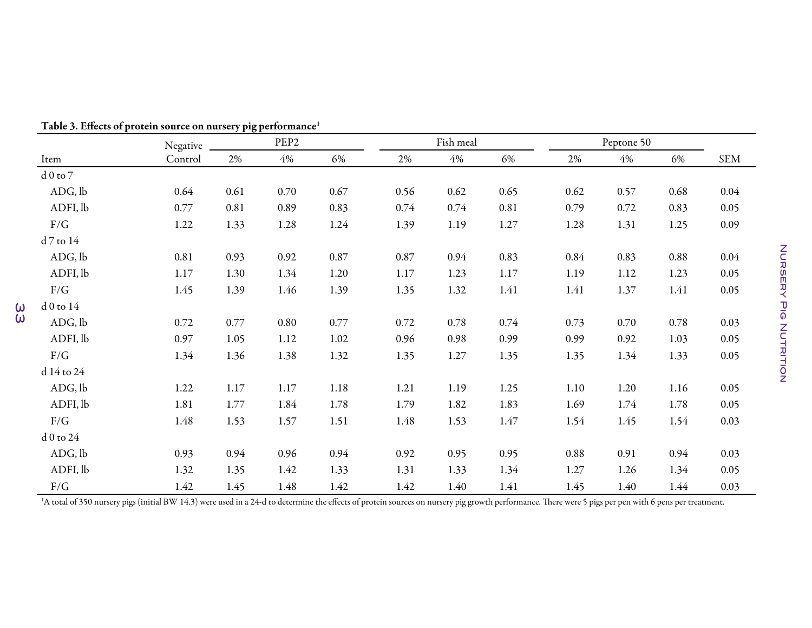|              | Negative |      | PEP <sub>2</sub> |          |      | Fish meal |      | Peptone 50 |      |      |            |
|--------------|----------|------|------------------|----------|------|-----------|------|------------|------|------|------------|
| Item         | Control  | 2%   | $4\%$            | 6%       | 2%   | 4%        | 6%   | 2%         | 4%   | 6%   | <b>SEM</b> |
| $d0$ to $7$  |          |      |                  |          |      |           |      |            |      |      |            |
| ADG, lb      | 0.64     | 0.61 | 0.70             | 0.67     | 0.56 | 0.62      | 0.65 | 0.62       | 0.57 | 0.68 | 0.04       |
| ADFI, lb     | 0.77     | 0.81 | 0.89             | 0.83     | 0.74 | 0.74      | 0.81 | 0.79       | 0.72 | 0.83 | 0.05       |
| $\rm F/G$    | 1.22     | 1.33 | 1.28             | 1.24     | 1.39 | 1.19      | 1.27 | 1.28       | 1.31 | 1.25 | 0.09       |
| d 7 to 14    |          |      |                  |          |      |           |      |            |      |      |            |
| ADG, lb      | 0.81     | 0.93 | 0.92             | $0.87\,$ | 0.87 | 0.94      | 0.83 | 0.84       | 0.83 | 0.88 | 0.04       |
| ADFI, lb     | 1.17     | 1.30 | 1.34             | 1.20     | 1.17 | 1.23      | 1.17 | 1.19       | 1.12 | 1.23 | 0.05       |
| F/G          | 1.45     | 1.39 | 1.46             | 1.39     | 1.35 | 1.32      | 1.41 | 1.41       | 1.37 | 1.41 | 0.05       |
| $d0$ to $14$ |          |      |                  |          |      |           |      |            |      |      |            |
| ADG, lb      | 0.72     | 0.77 | 0.80             | 0.77     | 0.72 | 0.78      | 0.74 | 0.73       | 0.70 | 0.78 | 0.03       |
| ADFI, lb     | 0.97     | 1.05 | 1.12             | 1.02     | 0.96 | 0.98      | 0.99 | 0.99       | 0.92 | 1.03 | 0.05       |
| F/G          | 1.34     | 1.36 | 1.38             | 1.32     | 1.35 | 1.27      | 1.35 | 1.35       | 1.34 | 1.33 | 0.05       |
| d 14 to 24   |          |      |                  |          |      |           |      |            |      |      |            |
| ADG, lb      | 1.22     | 1.17 | 1.17             | 1.18     | 1.21 | 1.19      | 1.25 | 1.10       | 1.20 | 1.16 | 0.05       |
| ADFI, lb     | 1.81     | 1.77 | 1.84             | 1.78     | 1.79 | 1.82      | 1.83 | 1.69       | 1.74 | 1.78 | 0.05       |
| $\rm F/G$    | 1.48     | 1.53 | 1.57             | 1.51     | 1.48 | 1.53      | 1.47 | 1.54       | 1.45 | 1.54 | 0.03       |
| d 0 to 24    |          |      |                  |          |      |           |      |            |      |      |            |
| ADG, lb      | 0.93     | 0.94 | 0.96             | 0.94     | 0.92 | 0.95      | 0.95 | $0.88\,$   | 0.91 | 0.94 | 0.03       |
| ADFI, lb     | 1.32     | 1.35 | 1.42             | 1.33     | 1.31 | 1.33      | 1.34 | 1.27       | 1.26 | 1.34 | 0.05       |
| F/G          | 1.42     | 1.45 | 1.48             | 1.42     | 1.42 | 1.40      | 1.41 | 1.45       | 1.40 | 1.44 | 0.03       |

Table 3. Effects of protein source on nursery pig performance $^{\scriptscriptstyle 1}$ 

33

 $^1$ A total of 350 nursery pigs (initial BW 14.3) were used in a 24-d to determine the effects of protein sources on nursery pig growth performance. There were 5 pigs per pen with 6 pens per treatment.